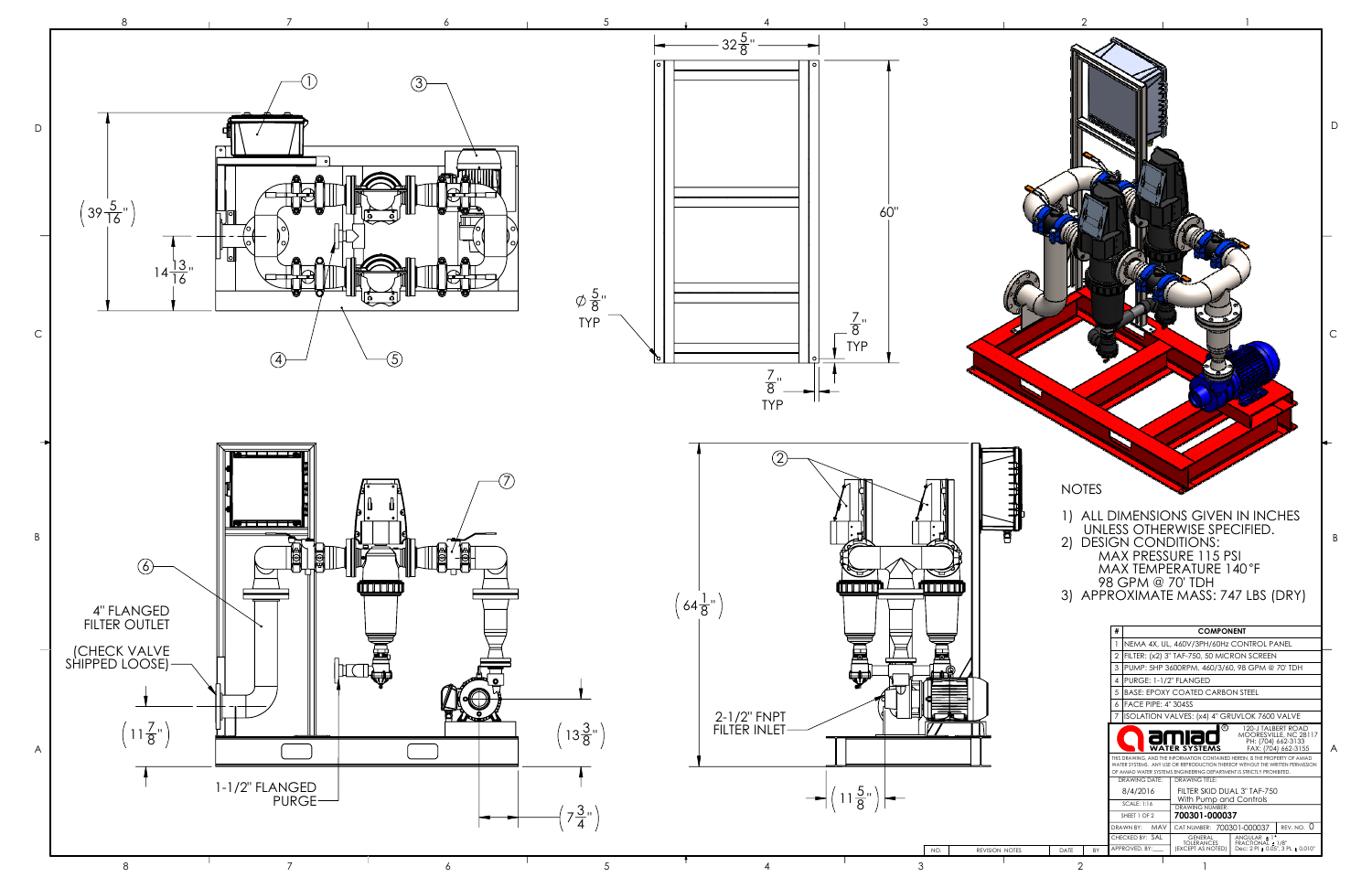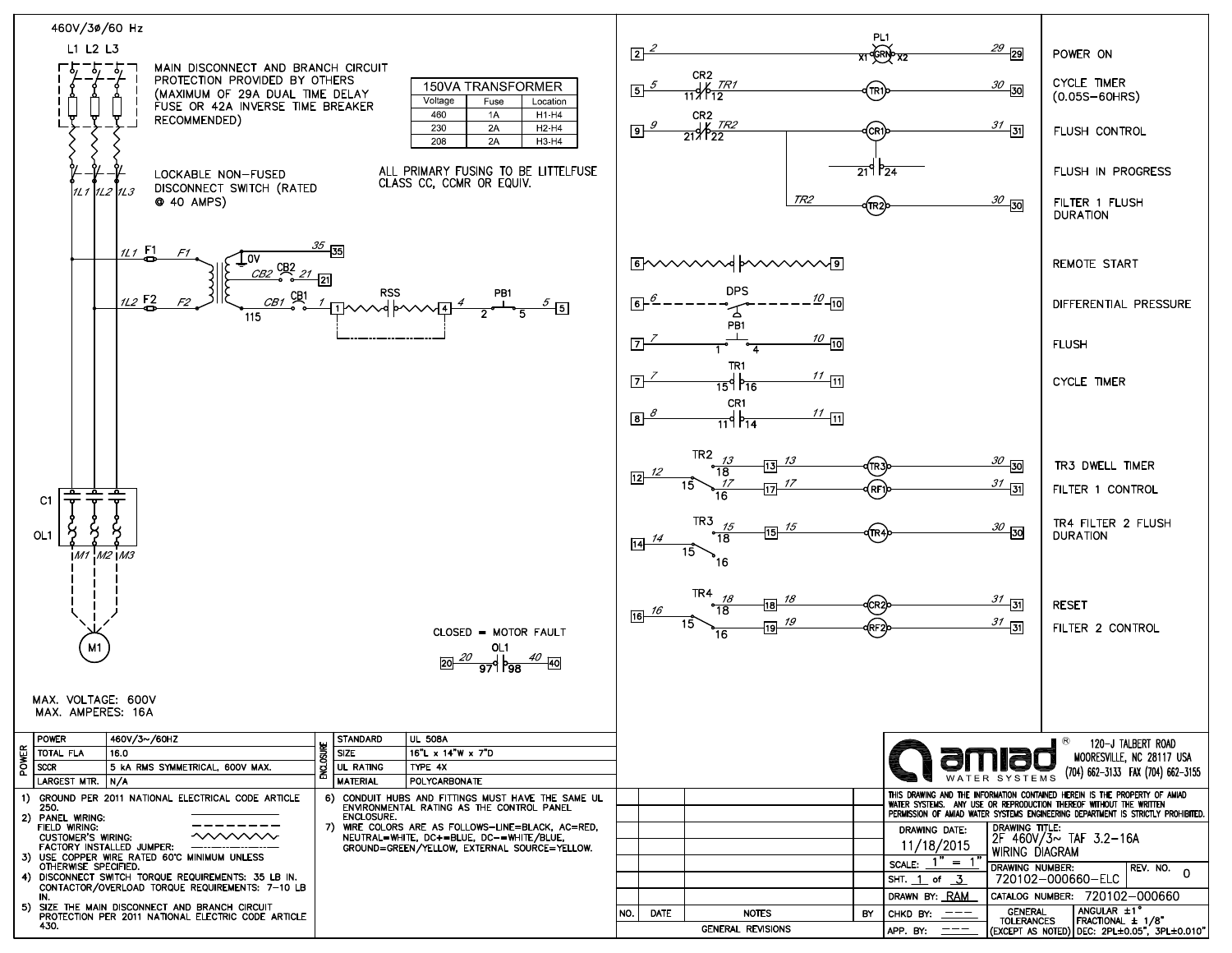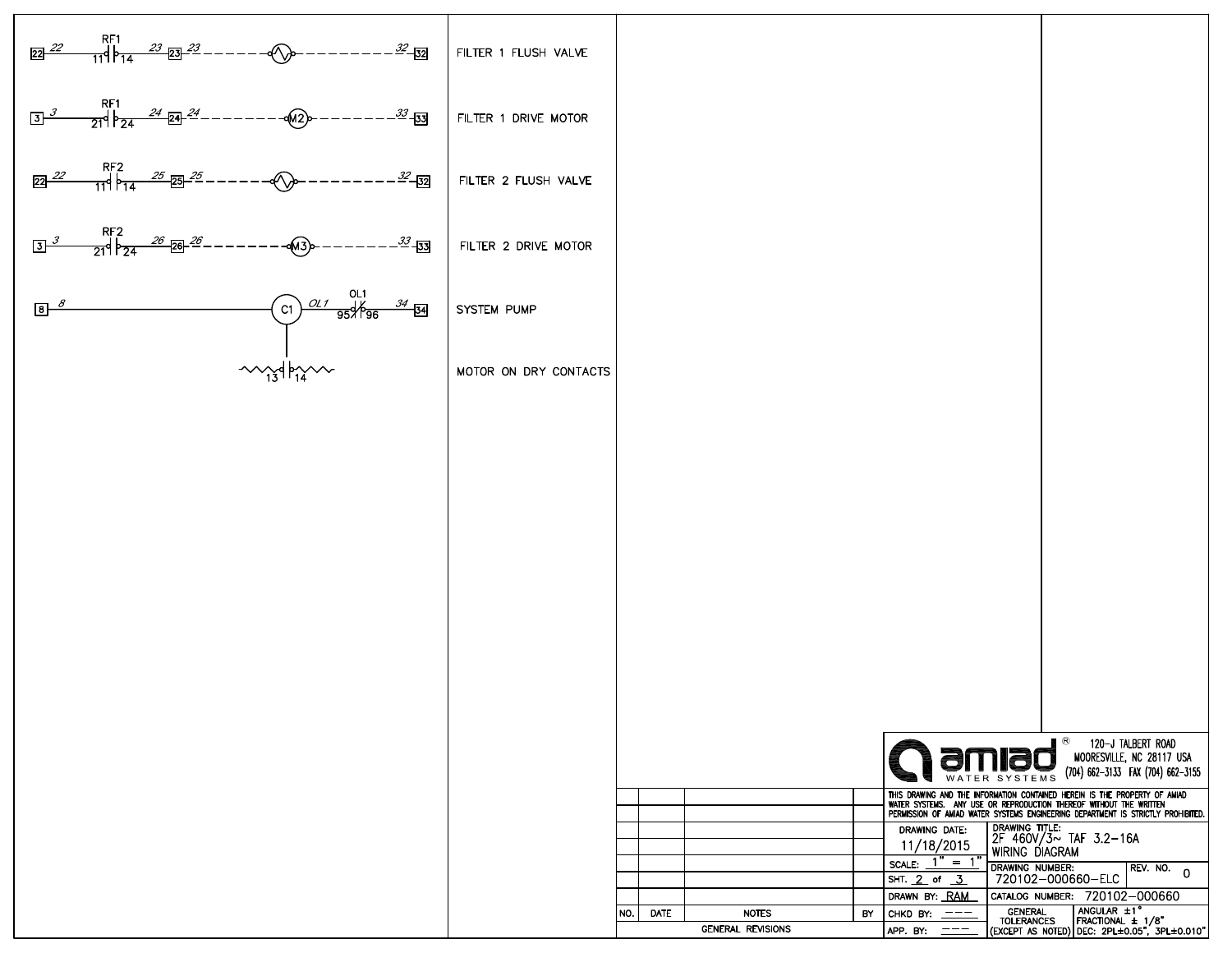